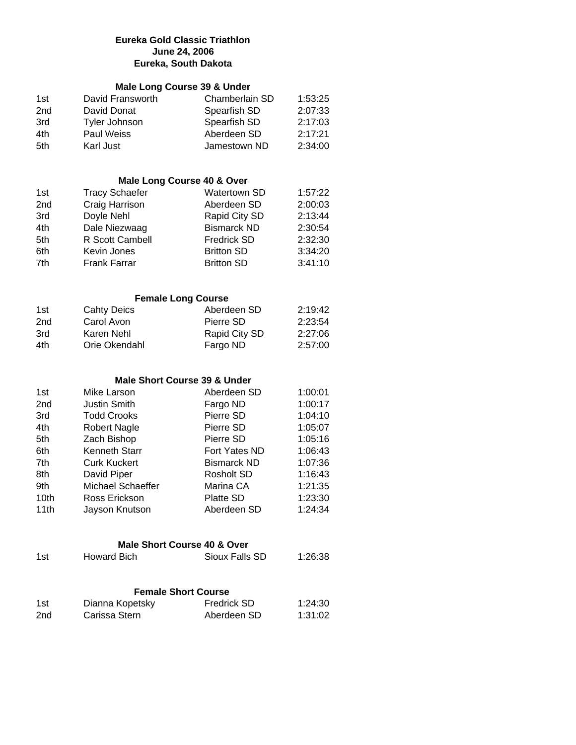# **Eureka Gold Classic Triathlon June 24, 2006 Eureka, South Dakota**

# **Male Long Course 39 & Under**

| 1st             | David Fransworth | Chamberlain SD | 1:53:25 |
|-----------------|------------------|----------------|---------|
| 2 <sub>nd</sub> | David Donat      | Spearfish SD   | 2:07:33 |
| 3rd             | Tyler Johnson    | Spearfish SD   | 2:17:03 |
| 4th             | Paul Weiss       | Aberdeen SD    | 2:17:21 |
| 5th             | Karl Just        | Jamestown ND   | 2:34:00 |

## **Male Long Course 40 & Over**

| 1st | <b>Tracy Schaefer</b> | <b>Watertown SD</b> | 1:57:22 |
|-----|-----------------------|---------------------|---------|
| 2nd | Craig Harrison        | Aberdeen SD         | 2:00:03 |
| 3rd | Doyle Nehl            | Rapid City SD       | 2:13:44 |
| 4th | Dale Niezwaag         | <b>Bismarck ND</b>  | 2:30:54 |
| 5th | R Scott Cambell       | <b>Fredrick SD</b>  | 2:32:30 |
| 6th | Kevin Jones           | <b>Britton SD</b>   | 3:34:20 |
| 7th | <b>Frank Farrar</b>   | <b>Britton SD</b>   | 3:41:10 |

#### **Female Long Course**

| 1st             | <b>Cahty Deics</b> | Aberdeen SD   | 2:19:42 |
|-----------------|--------------------|---------------|---------|
| 2 <sub>nd</sub> | Carol Avon         | Pierre SD     | 2:23:54 |
| 3rd             | Karen Nehl         | Rapid City SD | 2:27:06 |
| 4th             | Orie Okendahl      | Fargo ND      | 2:57:00 |

### **Male Short Course 39 & Under**

| 1st  | Mike Larson          | Aberdeen SD        | 1:00:01 |
|------|----------------------|--------------------|---------|
| 2nd  | <b>Justin Smith</b>  | Fargo ND           | 1:00:17 |
| 3rd  | <b>Todd Crooks</b>   | Pierre SD          | 1:04:10 |
| 4th  | <b>Robert Nagle</b>  | Pierre SD          | 1:05:07 |
| 5th  | Zach Bishop          | Pierre SD          | 1:05:16 |
| 6th  | <b>Kenneth Starr</b> | Fort Yates ND      | 1:06:43 |
| 7th  | <b>Curk Kuckert</b>  | <b>Bismarck ND</b> | 1:07:36 |
| 8th  | David Piper          | Rosholt SD         | 1:16:43 |
| 9th  | Michael Schaeffer    | Marina CA          | 1:21:35 |
| 10th | Ross Erickson        | Platte SD          | 1:23:30 |
| 11th | Jayson Knutson       | Aberdeen SD        | 1:24:34 |
|      |                      |                    |         |

| Male Short Course 40 & Over |                 |                            |         |  |  |
|-----------------------------|-----------------|----------------------------|---------|--|--|
| 1st                         | Howard Bich     | Sioux Falls SD             | 1:26:38 |  |  |
|                             |                 | <b>Female Short Course</b> |         |  |  |
| 1st                         | Dianna Kopetsky | <b>Fredrick SD</b>         | 1:24:30 |  |  |

| 5۱ ا | Diamia Ropetsky | <b>FIGUILLE SU</b> | 1.24.JU |
|------|-----------------|--------------------|---------|
| 2nd  | Carissa Stern   | Aberdeen SD        | 1:31:02 |